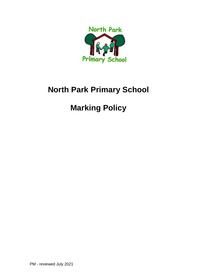

## **North Park Primary School**

# **Marking Policy**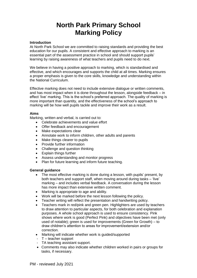## **North Park Primary School Marking Policy**

#### **Introduction**

At North Park School we are committed to raising standards and providing the best education for our pupils. A consistent and effective approach to marking is an essential part of the assessment practice in school and should support pupils' learning by raising awareness of what teachers and pupils need to do next.

We believe in having a positive approach to marking, which is standardised and effective, and which encourages and supports the child at all times. Marking ensures a proper emphasis is given to the core skills, knowledge and understanding within the National Curriculum.

Effective marking does not need to include extensive dialogue or written comments, and has most impact when it is done throughout the lesson, alongside feedback – in effect 'live' marking. This is the school's preferred approach. The quality of marking is more important than quantity, and the effectiveness of the school's approach to marking will be how well pupils tackle and improve their work as a result.

#### **Aims**

Marking, written and verbal, is carried out to:

- Celebrate achievements and value effort
- Offer feedback and encouragement
- Make expectations clear
- Annotate work to inform children, other adults and parents
- Make things clearer to pupils
- Provide further information
- Challenge and question thinking
- Explain things further
- Assess understanding and monitor progress
- Plan for future learning and inform future teaching.

#### **General guidance**

- The most effective marking is done during a lesson, with pupils' present, by both teachers and support staff, when moving around during tasks – 'live' marking – and includes verbal feedback. A conversation during the lesson has more impact than extensive written comment.
- Marking is appropriate to age and ability.
- Work will be marked before the next lesson following the policy.
- Teacher writing will reflect the presentation and handwriting policy.
- Teachers mark in red/pink and green pen. Highlighters are used by teachers to draw attention to particular aspects, for both celebration and explanation purposes. A whole school approach is used to ensure consistency. Pink shows where work is good (Perfect Pink) and objectives have been met (only used of notable); green is used for improvements (Green for Growth) – to draw children's attention to areas for improvement/extension and/or correction.
- Marking will indicate whether work is guided/supported
- T teacher support
- TA teaching assistant support.
- Comments may also indicate whether children worked in pairs or groups for tasks, if necessary.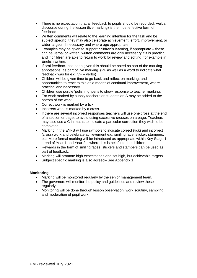- There is no expectation that all feedback to pupils should be recorded. Verbal discourse during the lesson (live marking) is the most effective form of feedback.
- Written comments will relate to the learning intention for the task and be subject specific; they may also celebrate achievement, effort, improvement, or wider targets, if necessary and where age appropriate.
- Examples may be given to support children's learning, if appropriate these can be verbal or written; written comments are only necessary if it is practical and if children are able to return to work for review and editing, for example in English writing.
- If oral feedback has been given this should be noted as part of the marking annotations, as part of live marking. (VF as well as a word to indicate what feedback was for e.g. VF – verbs)
- Children will be given time to go back and reflect on marking, and opportunities to react to this as a means of continual improvement, where practical and necessary.
- Children use purple 'polishing' pens to show response to teacher marking.
- For work marked by supply teachers or students an S may be added to the bottom of the work.
- Correct work is marked by a tick
- Incorrect work is marked by a cross.
- If there are several incorrect responses teachers will use one cross at the end of a section or page, to avoid using excessive crosses on a page. Teachers may also use a C in maths to indicate a particular correction they wish to be completed.
- Marking in the EYFS will use symbols to indicate correct (tick) and incorrect (cross) work and celebrate achievement e.g. smiling face, sticker, stampers, etc. More formal marking will be introduced as appropriate within Key Stage 1 – end of Year 1 and Year 2 – where this is helpful to the children.
- Rewards in the form of smiling faces, stickers and stampers can be used as part of feedback.
- Marking will promote high expectations and set high, but achievable targets.
- Subject specific marking is also agreed– See Appendix 1

#### **Monitoring**

- Marking will be monitored regularly by the senior management team.
- The governors will monitor the policy and quidelines and review these regularly.
- Monitoring will be done through lesson observation, work scrutiny, sampling and moderation of pupil work.